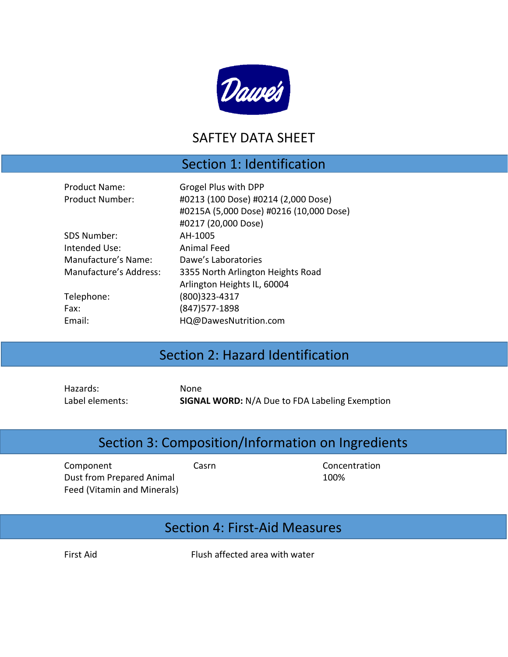

#### SAFTEY DATA SHEET

#### Section 1: Identification

| <b>Product Name:</b>   | Grogel Plus with DPP                |
|------------------------|-------------------------------------|
| Product Number:        | #0213 (100 Dose) #0214 (2,000 Dose) |
|                        | #0215A (5,000 Dose) #0216 (10,000 D |
|                        | #0217 (20,000 Dose)                 |
| SDS Number:            | AH-1005                             |
| Intended Use:          | <b>Animal Feed</b>                  |
| Manufacture's Name:    | Dawe's Laboratories                 |
| Manufacture's Address: | 3355 North Arlington Heights Road   |
|                        | Arlington Heights IL, 60004         |
| Telephone:             | (800)323-4317                       |
| Fax:                   | (847) 577-1898                      |
| Email:                 | HQ@DawesNutrition.com               |
|                        |                                     |

## Section 2: Hazard Identification

Hazards: None

Label elements: **SIGNAL WORD:** N/A Due to FDA Labeling Exemption

### Section 3: Composition/Information on Ingredients

Component Casrn Casrn Concentration Dust from Prepared Animal Feed (Vitamin and Minerals)

100%

Dose)

#### Section 4: First-Aid Measures

First Aid Flush affected area with water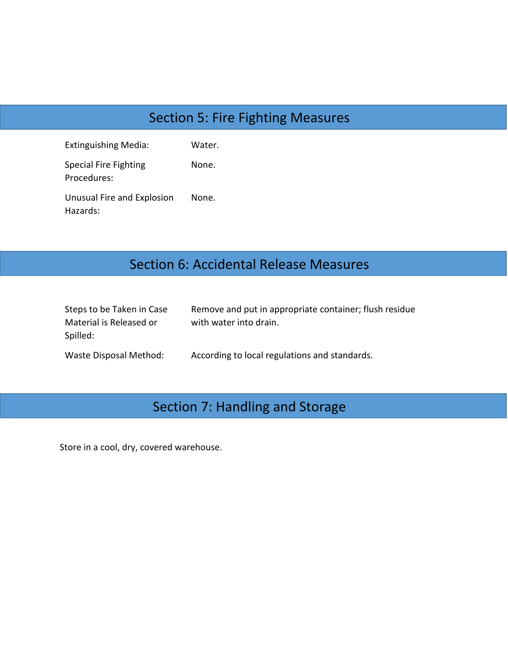# Section 5: Fire Fighting Measures

| <b>Extinguishing Media:</b>            | Water. |
|----------------------------------------|--------|
| Special Fire Fighting<br>Procedures:   | None.  |
| Unusual Fire and Explosion<br>Hazards: | None.  |

## Section 6: Accidental Release Measures

| Steps to be Taken in Case | Remove and put in appropriate container; flush residue |
|---------------------------|--------------------------------------------------------|
| Material is Released or   | with water into drain.                                 |
| Spilled:                  |                                                        |
| Waste Disposal Method:    | According to local regulations and standards.          |

# Section 7: Handling and Storage

Store in a cool, dry, covered warehouse.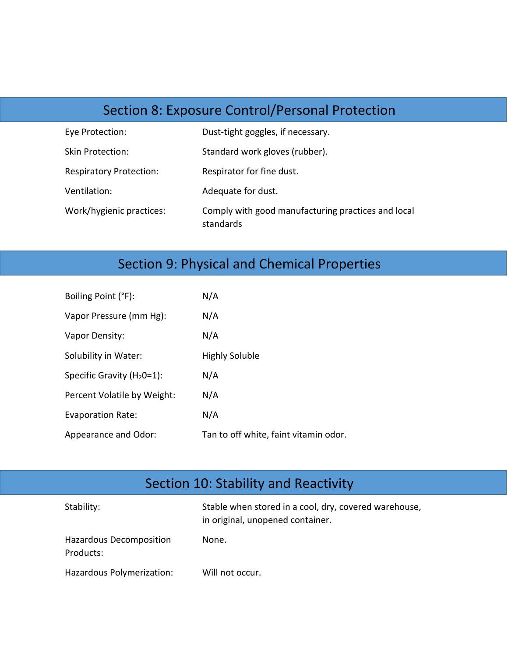## Section 8: Exposure Control/Personal Protection

| Eye Protection:                | Dust-tight goggles, if necessary.                               |
|--------------------------------|-----------------------------------------------------------------|
| Skin Protection:               | Standard work gloves (rubber).                                  |
| <b>Respiratory Protection:</b> | Respirator for fine dust.                                       |
| Ventilation:                   | Adequate for dust.                                              |
| Work/hygienic practices:       | Comply with good manufacturing practices and local<br>standards |

## Section 9: Physical and Chemical Properties

| Boiling Point (°F):            | N/A                                   |
|--------------------------------|---------------------------------------|
| Vapor Pressure (mm Hg):        | N/A                                   |
| Vapor Density:                 | N/A                                   |
| Solubility in Water:           | <b>Highly Soluble</b>                 |
| Specific Gravity ( $H_2O=1$ ): | N/A                                   |
| Percent Volatile by Weight:    | N/A                                   |
| <b>Evaporation Rate:</b>       | N/A                                   |
| Appearance and Odor:           | Tan to off white, faint vitamin odor. |

# Section 10: Stability and Reactivity

| Stability:                           | Stable when stored in a cool, dry, covered warehouse,<br>in original, unopened container. |
|--------------------------------------|-------------------------------------------------------------------------------------------|
| Hazardous Decomposition<br>Products: | None.                                                                                     |
| Hazardous Polymerization:            | Will not occur.                                                                           |